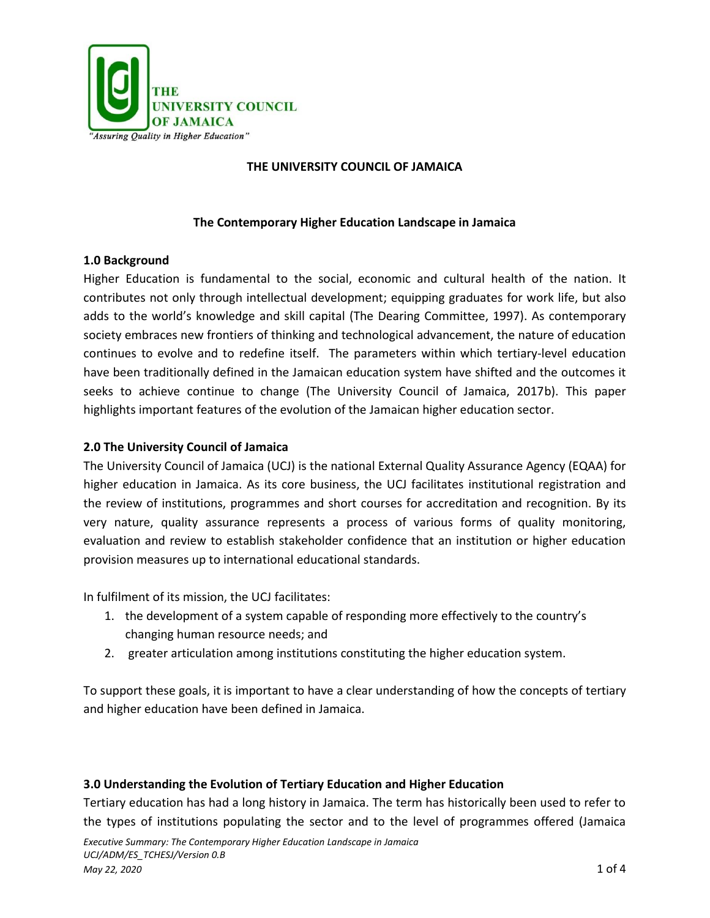

## **THE UNIVERSITY COUNCIL OF JAMAICA**

## **The Contemporary Higher Education Landscape in Jamaica**

### **1.0 Background**

Higher Education is fundamental to the social, economic and cultural health of the nation. It contributes not only through intellectual development; equipping graduates for work life, but also adds to the world's knowledge and skill capital (The Dearing Committee, 1997). As contemporary society embraces new frontiers of thinking and technological advancement, the nature of education continues to evolve and to redefine itself. The parameters within which tertiary-level education have been traditionally defined in the Jamaican education system have shifted and the outcomes it seeks to achieve continue to change (The University Council of Jamaica, 2017b). This paper highlights important features of the evolution of the Jamaican higher education sector.

## **2.0 The University Council of Jamaica**

The University Council of Jamaica (UCJ) is the national External Quality Assurance Agency (EQAA) for higher education in Jamaica. As its core business, the UCJ facilitates institutional registration and the review of institutions, programmes and short courses for accreditation and recognition. By its very nature, quality assurance represents a process of various forms of quality monitoring, evaluation and review to establish stakeholder confidence that an institution or higher education provision measures up to international educational standards.

In fulfilment of its mission, the UCJ facilitates:

- 1. the development of a system capable of responding more effectively to the country's changing human resource needs; and
- 2. greater articulation among institutions constituting the higher education system.

To support these goals, it is important to have a clear understanding of how the concepts of tertiary and higher education have been defined in Jamaica.

### **3.0 Understanding the Evolution of Tertiary Education and Higher Education**

Tertiary education has had a long history in Jamaica. The term has historically been used to refer to the types of institutions populating the sector and to the level of programmes offered (Jamaica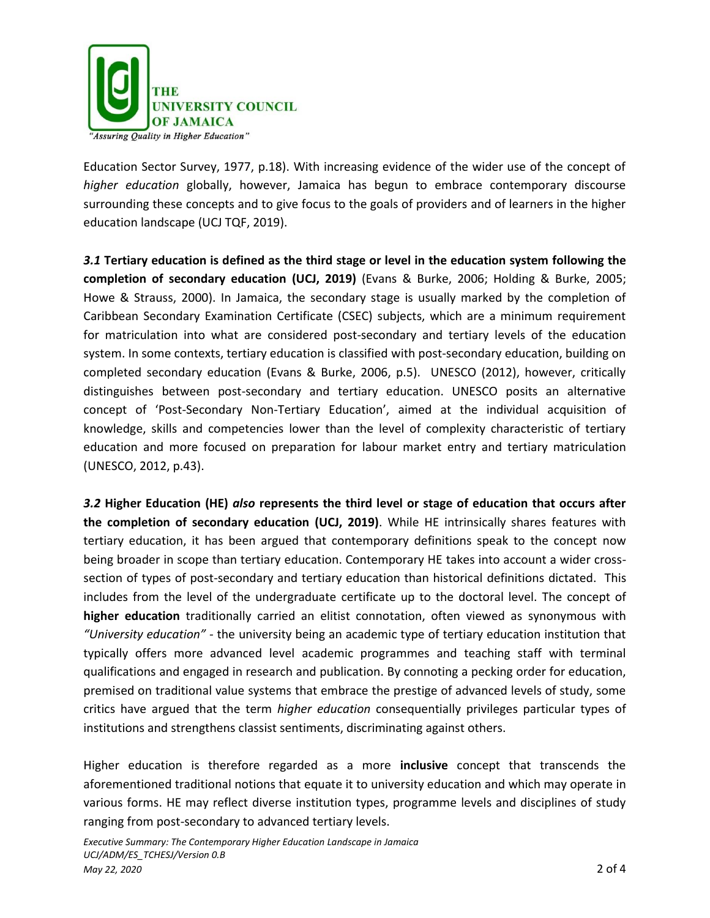

Education Sector Survey, 1977, p.18). With increasing evidence of the wider use of the concept of *higher education* globally, however, Jamaica has begun to embrace contemporary discourse surrounding these concepts and to give focus to the goals of providers and of learners in the higher education landscape (UCJ TQF, 2019).

*3.1* **Tertiary education is defined as the third stage or level in the education system following the completion of secondary education (UCJ, 2019)** (Evans & Burke, 2006; Holding & Burke, 2005; Howe & Strauss, 2000). In Jamaica, the secondary stage is usually marked by the completion of Caribbean Secondary Examination Certificate (CSEC) subjects, which are a minimum requirement for matriculation into what are considered post-secondary and tertiary levels of the education system. In some contexts, tertiary education is classified with post-secondary education, building on completed secondary education (Evans & Burke, 2006, p.5). UNESCO (2012), however, critically distinguishes between post-secondary and tertiary education. UNESCO posits an alternative concept of 'Post-Secondary Non-Tertiary Education', aimed at the individual acquisition of knowledge, skills and competencies lower than the level of complexity characteristic of tertiary education and more focused on preparation for labour market entry and tertiary matriculation (UNESCO, 2012, p.43).

*3.2* **Higher Education (HE)** *also* **represents the third level or stage of education that occurs after the completion of secondary education (UCJ, 2019)**. While HE intrinsically shares features with tertiary education, it has been argued that contemporary definitions speak to the concept now being broader in scope than tertiary education. Contemporary HE takes into account a wider crosssection of types of post-secondary and tertiary education than historical definitions dictated. This includes from the level of the undergraduate certificate up to the doctoral level. The concept of **higher education** traditionally carried an elitist connotation, often viewed as synonymous with *"University education" -* the university being an academic type of tertiary education institution that typically offers more advanced level academic programmes and teaching staff with terminal qualifications and engaged in research and publication. By connoting a pecking order for education, premised on traditional value systems that embrace the prestige of advanced levels of study, some critics have argued that the term *higher education* consequentially privileges particular types of institutions and strengthens classist sentiments, discriminating against others.

Higher education is therefore regarded as a more **inclusive** concept that transcends the aforementioned traditional notions that equate it to university education and which may operate in various forms. HE may reflect diverse institution types, programme levels and disciplines of study ranging from post-secondary to advanced tertiary levels.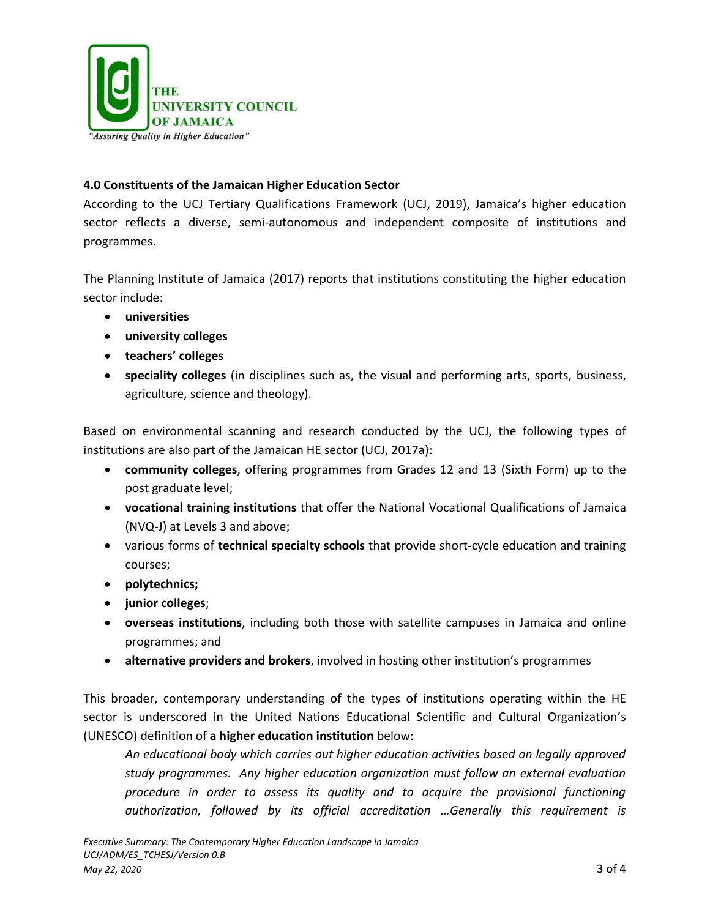

# **4.0 Constituents of the Jamaican Higher Education Sector**

According to the UCJ Tertiary Qualifications Framework (UCJ, 2019), Jamaica's higher education sector reflects a diverse, semi-autonomous and independent composite of institutions and programmes.

The Planning Institute of Jamaica (2017) reports that institutions constituting the higher education sector include:

- **universities**
- **university colleges**
- **teachers' colleges**
- **speciality colleges** (in disciplines such as, the visual and performing arts, sports, business, agriculture, science and theology).

Based on environmental scanning and research conducted by the UCJ, the following types of institutions are also part of the Jamaican HE sector (UCJ, 2017a):

- **community colleges**, offering programmes from Grades 12 and 13 (Sixth Form) up to the post graduate level;
- **vocational training institutions** that offer the National Vocational Qualifications of Jamaica (NVQ-J) at Levels 3 and above;
- various forms of **technical specialty schools** that provide short-cycle education and training courses;
- **polytechnics;**
- **junior colleges**;
- **overseas institutions**, including both those with satellite campuses in Jamaica and online programmes; and
- **alternative providers and brokers**, involved in hosting other institution's programmes

This broader, contemporary understanding of the types of institutions operating within the HE sector is underscored in the United Nations Educational Scientific and Cultural Organization's (UNESCO) definition of **a higher education institution** below:

*An educational body which carries out higher education activities based on legally approved study programmes. Any higher education organization must follow an external evaluation procedure in order to assess its quality and to acquire the provisional functioning authorization, followed by its official accreditation …Generally this requirement is*